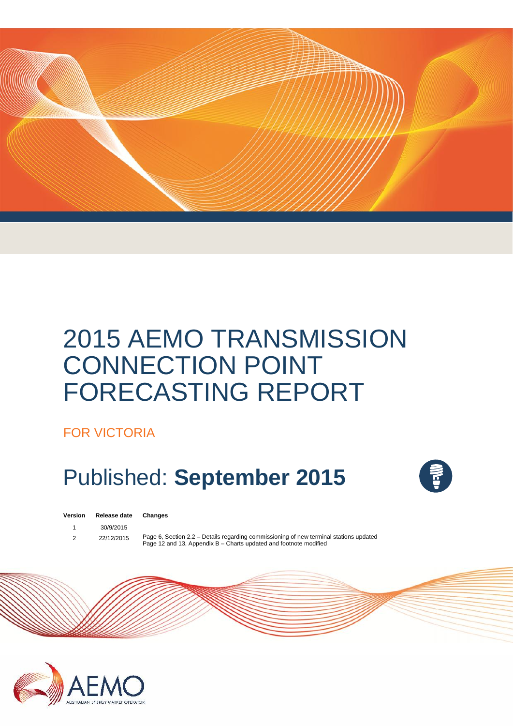

# 2015 AEMO TRANSMISSION CONNECTION POINT FORECASTING REPORT

FOR VICTORIA

# Published: **September 2015**



| v ei sivii | neicas |
|------------|--------|
|            |        |
|            | 0.010  |

**Version Release date Changes**

1 30/9/2015

2 22/12/2015 Page 6, Section 2.2 – Details regarding commissioning of new terminal stations updated Page 12 and 13, Appendix B - Charts updated and footnote modified

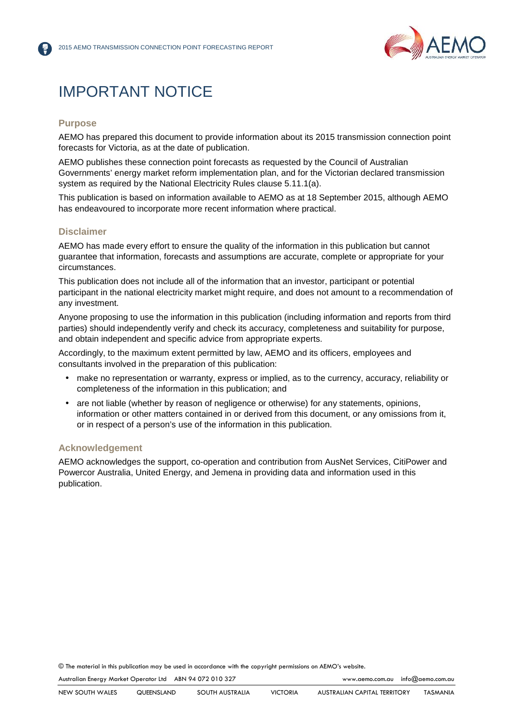

## IMPORTANT NOTICE

### **Purpose**

AEMO has prepared this document to provide information about its 2015 transmission connection point forecasts for Victoria, as at the date of publication.

AEMO publishes these connection point forecasts as requested by the Council of Australian Governments' energy market reform implementation plan, and for the Victorian declared transmission system as required by the National Electricity Rules clause 5.11.1(a).

This publication is based on information available to AEMO as at 18 September 2015, although AEMO has endeavoured to incorporate more recent information where practical.

### **Disclaimer**

AEMO has made every effort to ensure the quality of the information in this publication but cannot guarantee that information, forecasts and assumptions are accurate, complete or appropriate for your circumstances.

This publication does not include all of the information that an investor, participant or potential participant in the national electricity market might require, and does not amount to a recommendation of any investment.

Anyone proposing to use the information in this publication (including information and reports from third parties) should independently verify and check its accuracy, completeness and suitability for purpose, and obtain independent and specific advice from appropriate experts.

Accordingly, to the maximum extent permitted by law, AEMO and its officers, employees and consultants involved in the preparation of this publication:

- make no representation or warranty, express or implied, as to the currency, accuracy, reliability or completeness of the information in this publication; and
- are not liable (whether by reason of negligence or otherwise) for any statements, opinions, information or other matters contained in or derived from this document, or any omissions from it, or in respect of a person's use of the information in this publication.

### **Acknowledgement**

AEMO acknowledges the support, co-operation and contribution from AusNet Services, CitiPower and Powercor Australia, United Energy, and Jemena in providing data and information used in this publication.

© The material in this publication may be used in accordance with the copyright permissions on AEMO's website.

Australian Energy Market Operator Ltd ABN 94 072 010 327 www.aemo.com.au info@aemo.com.au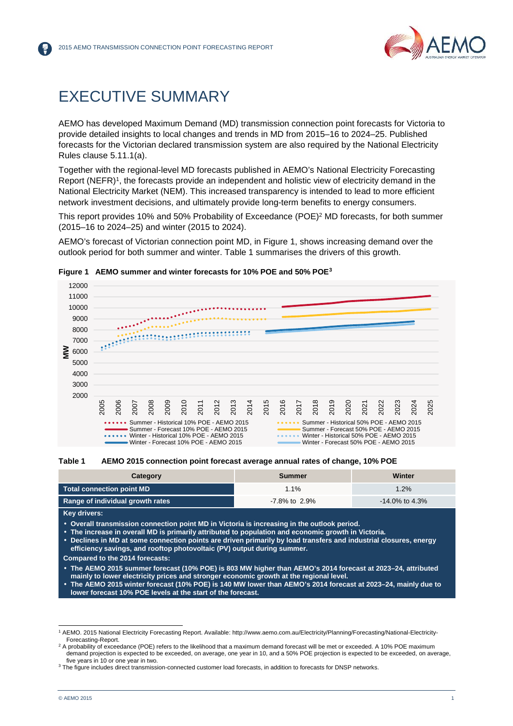

## EXECUTIVE SUMMARY

AEMO has developed Maximum Demand (MD) transmission connection point forecasts for Victoria to provide detailed insights to local changes and trends in MD from 2015–16 to 2024–25. Published forecasts for the Victorian declared transmission system are also required by the National Electricity Rules clause 5.11.1(a).

Together with the regional-level MD forecasts published in AEMO's National Electricity Forecasting Report (NEFR)<sup>1</sup>, the forecasts provide an independent and holistic view of electricity demand in the National Electricity Market (NEM). This increased transparency is intended to lead to more efficient network investment decisions, and ultimately provide long-term benefits to energy consumers.

This report provides 10% and 50% Probability of Exceedance (POE)<sup>2</sup> MD forecasts, for both summer (2015–16 to 2024–25) and winter (2015 to 2024).

AEMO's forecast of Victorian connection point MD, in Figure 1, shows increasing demand over the outlook period for both summer and winter. Table 1 summarises the drivers of this growth.



### **Figure 1 AEMO summer and winter forecasts for 10% POE and 50% POE<sup>3</sup>**



| Category                         | Summer        | Winter            |
|----------------------------------|---------------|-------------------|
| Total connection point MD        | $1.1\%$       | 1.2%              |
| Range of individual growth rates | -7.8% to 2.9% | $-14.0\%$ to 4.3% |

**Key drivers:**

**Overall transmission connection point MD in Victoria is increasing in the outlook period.**

- **The increase in overall MD is primarily attributed to population and economic growth in Victoria.**
- **Declines in MD at some connection points are driven primarily by load transfers and industrial closures, energy efficiency savings, and rooftop photovoltaic (PV) output during summer.**
- **Compared to the 2014 forecasts:**
- **The AEMO 2015 summer forecast (10% POE) is 803 MW higher than AEMO's 2014 forecast at 2023–24, attributed mainly to lower electricity prices and stronger economic growth at the regional level.**
- **The AEMO 2015 winter forecast (10% POE) is 140 MW lower than AEMO's 2014 forecast at 2023–24, mainly due to lower forecast 10% POE levels at the start of the forecast.**

<sup>1</sup> AEMO. 2015 National Electricity Forecasting Report. Available: http://www.aemo.com.au/Electricity/Planning/Forecasting/National-Electricity- Forecasting-Report.

<sup>2</sup> A probability of exceedance (POE) refers to the likelihood that a maximum demand forecast will be met or exceeded. A 10% POE maximum demand projection is expected to be exceeded, on average, one year in 10, and a 50% POE projection is expected to be exceeded, on average, five years in 10 or one year in two.

<sup>&</sup>lt;sup>3</sup> The figure includes direct transmission-connected customer load forecasts, in addition to forecasts for DNSP networks.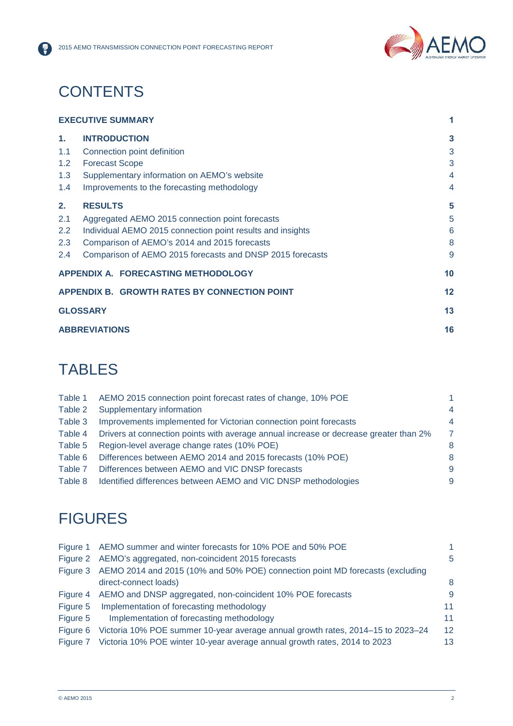

## **CONTENTS**

6

|               | <b>EXECUTIVE SUMMARY</b>                                   |    |
|---------------|------------------------------------------------------------|----|
| 1.            | <b>INTRODUCTION</b>                                        | 3  |
| 1.1           | Connection point definition                                | 3  |
| $1.2^{\circ}$ | <b>Forecast Scope</b>                                      | 3  |
| 1.3           | Supplementary information on AEMO's website                | 4  |
| 1.4           | Improvements to the forecasting methodology                | 4  |
| 2.            | <b>RESULTS</b>                                             | 5  |
| 2.1           | Aggregated AEMO 2015 connection point forecasts            | 5  |
| 2.2           | Individual AEMO 2015 connection point results and insights | 6  |
| 2.3           | Comparison of AEMO's 2014 and 2015 forecasts               | 8  |
| $2.4^{\circ}$ | Comparison of AEMO 2015 forecasts and DNSP 2015 forecasts  | 9  |
|               | APPENDIX A. FORECASTING METHODOLOGY                        | 10 |
|               | APPENDIX B. GROWTH RATES BY CONNECTION POINT               | 12 |
|               | <b>GLOSSARY</b>                                            | 13 |
|               | <b>ABBREVIATIONS</b>                                       | 16 |

## **TABLES**

| Table 1 | AEMO 2015 connection point forecast rates of change, 10% POE                          |   |
|---------|---------------------------------------------------------------------------------------|---|
| Table 2 | Supplementary information                                                             | 4 |
| Table 3 | Improvements implemented for Victorian connection point forecasts                     | 4 |
| Table 4 | Drivers at connection points with average annual increase or decrease greater than 2% |   |
| Table 5 | Region-level average change rates (10% POE)                                           | 8 |
| Table 6 | Differences between AEMO 2014 and 2015 forecasts (10% POE)                            | 8 |
| Table 7 | Differences between AEMO and VIC DNSP forecasts                                       | 9 |
| Table 8 | Identified differences between AEMO and VIC DNSP methodologies                        | 9 |
|         |                                                                                       |   |

## **FIGURES**

|          | Figure 1 AEMO summer and winter forecasts for 10% POE and 50% POE                      |    |
|----------|----------------------------------------------------------------------------------------|----|
|          | Figure 2 AEMO's aggregated, non-coincident 2015 forecasts                              | 5  |
|          | Figure 3 AEMO 2014 and 2015 (10% and 50% POE) connection point MD forecasts (excluding |    |
|          | direct-connect loads)                                                                  | 8  |
|          | Figure 4 AEMO and DNSP aggregated, non-coincident 10% POE forecasts                    | 9  |
| Figure 5 | Implementation of forecasting methodology                                              | 11 |
| Figure 5 | Implementation of forecasting methodology                                              | 11 |
| Figure 6 | Victoria 10% POE summer 10-year average annual growth rates, 2014-15 to 2023-24        | 12 |
|          | Figure 7 Victoria 10% POE winter 10-year average annual growth rates, 2014 to 2023     | 13 |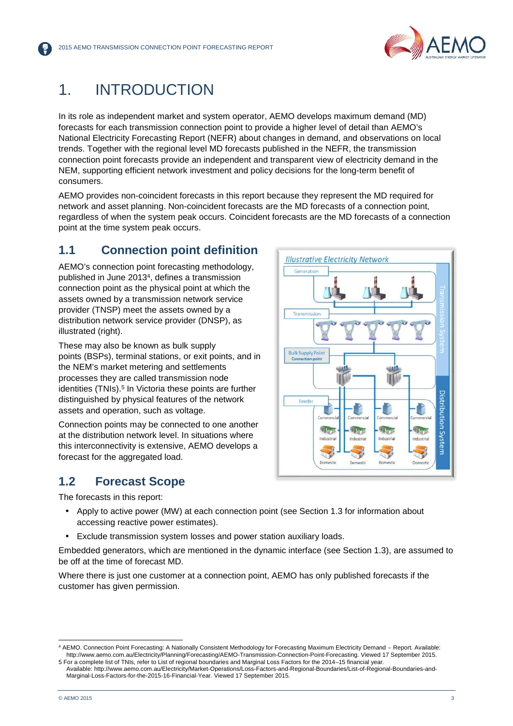

## 1. INTRODUCTION

In its role as independent market and system operator, AEMO develops maximum demand (MD) forecasts for each transmission connection point to provide a higher level of detail than AEMO's National Electricity Forecasting Report (NEFR) about changes in demand, and observations on local trends. Together with the regional level MD forecasts published in the NEFR, the transmission connection point forecasts provide an independent and transparent view of electricity demand in the NEM, supporting efficient network investment and policy decisions for the long-term benefit of consumers.

AEMO provides non-coincident forecasts in this report because they represent the MD required for network and asset planning. Non-coincident forecasts are the MD forecasts of a connection point, regardless of when the system peak occurs. Coincident forecasts are the MD forecasts of a connection point at the time system peak occurs.

## **1.1 Connection point definition Interact in Securial Property Network**

AEMO's connection point forecasting methodology, published in June 2013<sup>4</sup> , defines a transmission connection point as the physical point at which the assets owned by a transmission network service provider (TNSP) meet the assets owned by a distribution network service provider (DNSP), as illustrated (right).

These may also be known as bulk supply points (BSPs), terminal stations, or exit points, and in the NEM's market metering and settlements processes they are called transmission node identities (TNIs).<sup>5</sup> In Victoria these points are further distinguished by physical features of the network assets and operation, such as voltage.

Connection points may be connected to one another at the distribution network level. In situations where this interconnectivity is extensive, AEMO develops a forecast for the aggregated load.

## **1.2 Forecast Scope**

The forecasts in this report:

- Apply to active power (MW) at each connection point (see Section 1.3 for information about accessing reactive power estimates).
- Exclude transmission system losses and power station auxiliary loads.

Embedded generators, which are mentioned in the dynamic interface (see Section 1.3), are assumed to be off at the time of forecast MD.

Where there is just one customer at a connection point, AEMO has only published forecasts if the customer has given permission.



<sup>4</sup> AEMO. Connection Point Forecasting: A Nationally Consistent Methodology for Forecasting Maximum Electricity Demand – Report. Available: http://www.aemo.com.au/Electricity/Planning/Forecasting/AEMO-Transmission-Connection-Point-Forecasting. Viewed 17 September 2015.

<sup>5</sup> For a complete list of TNIs, refer to List of regional boundaries and Marginal Loss Factors for the 2014–15 financial year. Available: http://www.aemo.com.au/Electricity/Market-Operations/Loss-Factors-and-Regional-Boundaries/List-of-Regional-Boundaries-and- Marginal-Loss-Factors-for-the-2015-16-Financial-Year. Viewed 17 September 2015.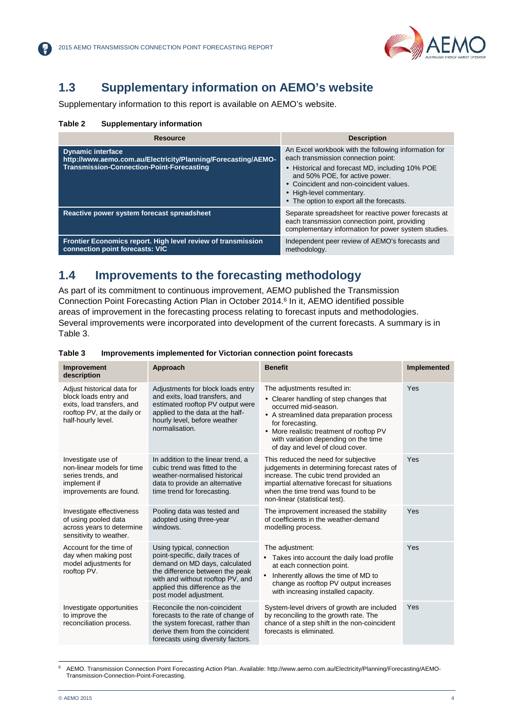

## **1.3 Supplementary information on AEMO's website**

Supplementary information to this report is available on AEMO's website.

### **Table 2 Supplementary information**

| Resource                                                                                                                                      | <b>Description</b>                                                                                                                                                                                                                                                                                   |
|-----------------------------------------------------------------------------------------------------------------------------------------------|------------------------------------------------------------------------------------------------------------------------------------------------------------------------------------------------------------------------------------------------------------------------------------------------------|
| <b>Dynamic interface</b><br>http://www.aemo.com.au/Electricity/Planning/Forecasting/AEMO-<br><b>Transmission-Connection-Point-Forecasting</b> | An Excel workbook with the following information for<br>each transmission connection point:<br>• Historical and forecast MD, including 10% POE<br>and 50% POE, for active power.<br>• Coincident and non-coincident values.<br>• High-level commentary.<br>• The option to export all the forecasts. |
| Reactive power system forecast spreadsheet                                                                                                    | Separate spreadsheet for reactive power forecasts at<br>each transmission connection point, providing<br>complementary information for power system studies.                                                                                                                                         |
| Frontier Economics report. High level review of transmission<br>connection point forecasts: VIC                                               | Independent peer review of AEMO's forecasts and<br>methodology.                                                                                                                                                                                                                                      |

### **1.4 Improvements to the forecasting methodology**

As part of its commitment to continuous improvement, AEMO published the Transmission Connection Point Forecasting Action Plan in October 2014.<sup>6</sup> In it, AEMO identified possible areas of improvement in the forecasting process relating to forecast inputs and methodologies. Several improvements were incorporated into development of the current forecasts. A summary is in Table 3.

| Improvement<br>description                                                                                                             | <b>Approach</b>                                                                                                                                                                                                                  | <b>Benefit</b>                                                                                                                                                                                                                                                                          | Implemented |
|----------------------------------------------------------------------------------------------------------------------------------------|----------------------------------------------------------------------------------------------------------------------------------------------------------------------------------------------------------------------------------|-----------------------------------------------------------------------------------------------------------------------------------------------------------------------------------------------------------------------------------------------------------------------------------------|-------------|
| Adjust historical data for<br>block loads entry and<br>exits, load transfers, and<br>rooftop PV, at the daily or<br>half-hourly level. | Adjustments for block loads entry<br>and exits, load transfers, and<br>estimated rooftop PV output were<br>applied to the data at the half-<br>hourly level, before weather<br>normalisation.                                    | The adjustments resulted in:<br>• Clearer handling of step changes that<br>occurred mid-season.<br>• A streamlined data preparation process<br>for forecasting.<br>• More realistic treatment of rooftop PV<br>with variation depending on the time<br>of day and level of cloud cover. | Yes         |
| Investigate use of<br>non-linear models for time<br>series trends, and<br>implement if<br>improvements are found.                      | In addition to the linear trend, a<br>cubic trend was fitted to the<br>weather-normalised historical<br>data to provide an alternative<br>time trend for forecasting.                                                            | This reduced the need for subjective<br>judgements in determining forecast rates of<br>increase. The cubic trend provided an<br>impartial alternative forecast for situations<br>when the time trend was found to be<br>non-linear (statistical test).                                  | Yes         |
| Investigate effectiveness<br>of using pooled data<br>across years to determine<br>sensitivity to weather.                              | Pooling data was tested and<br>adopted using three-year<br>windows.                                                                                                                                                              | The improvement increased the stability<br>of coefficients in the weather-demand<br>modelling process.                                                                                                                                                                                  | Yes         |
| Account for the time of<br>day when making post<br>model adjustments for<br>rooftop PV.                                                | Using typical, connection<br>point-specific, daily traces of<br>demand on MD days, calculated<br>the difference between the peak<br>with and without rooftop PV, and<br>applied this difference as the<br>post model adjustment. | The adjustment:<br>Takes into account the daily load profile<br>$\bullet$<br>at each connection point.<br>Inherently allows the time of MD to<br>$\bullet$<br>change as rooftop PV output increases<br>with increasing installed capacity.                                              | Yes         |
| Investigate opportunities<br>to improve the<br>reconciliation process.                                                                 | Reconcile the non-coincident<br>forecasts to the rate of change of<br>the system forecast, rather than<br>derive them from the coincident<br>forecasts using diversity factors.                                                  | System-level drivers of growth are included<br>by reconciling to the growth rate. The<br>chance of a step shift in the non-coincident<br>forecasts is eliminated.                                                                                                                       | Yes         |

### **Table 3 Improvements implemented for Victorian connection point forecasts**

<sup>6</sup> AEMO. Transmission Connection Point Forecasting Action Plan. Available: http://www.aemo.com.au/Electricity/Planning/Forecasting/AEMO- Transmission-Connection-Point-Forecasting.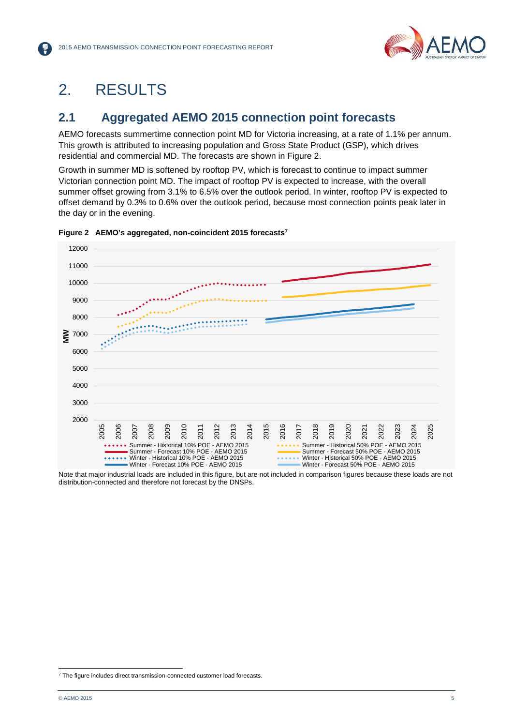

## 2. RESULTS

## **2.1 Aggregated AEMO 2015 connection point forecasts**

AEMO forecasts summertime connection point MD for Victoria increasing, at a rate of 1.1% per annum. This growth is attributed to increasing population and Gross State Product (GSP), which drives residential and commercial MD. The forecasts are shown in Figure 2.

Growth in summer MD is softened by rooftop PV, which is forecast to continue to impact summer Victorian connection point MD. The impact of rooftop PV is expected to increase, with the overall summer offset growing from 3.1% to 6.5% over the outlook period. In winter, rooftop PV is expected to offset demand by 0.3% to 0.6% over the outlook period, because most connection points peak later in the day or in the evening.



**Figure 2 AEMO's aggregated, non-coincident 2015 forecasts<sup>7</sup>**

Note that major industrial loads are included in this figure, but are not included in comparison figures because these loads are not distribution-connected and therefore not forecast by the DNSPs.

<sup>&</sup>lt;sup>7</sup> The figure includes direct transmission-connected customer load forecasts.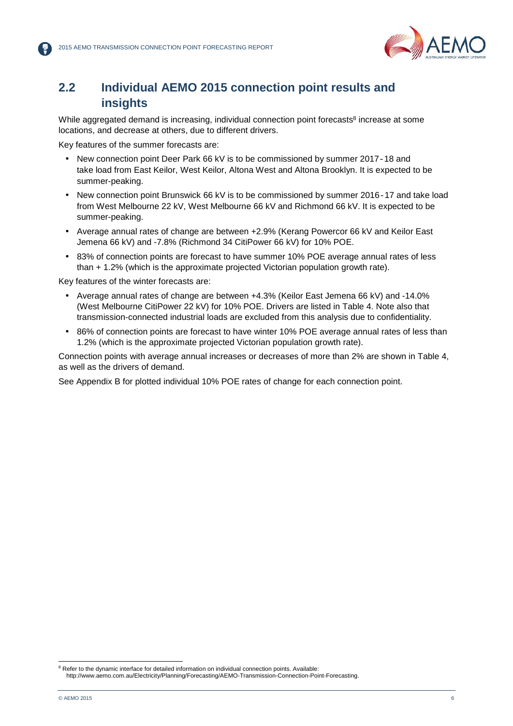

### **2.2 Individual AEMO 2015 connection point results and insights**

While aggregated demand is increasing, individual connection point forecasts<sup>8</sup> increase at some locations, and decrease at others, due to different drivers.

Key features of the summer forecasts are:

- New connection point Deer Park 66 kV is to be commissioned by summer 2017-18 and take load from East Keilor, West Keilor, Altona West and Altona Brooklyn. It is expected to be summer-peaking.
- New connection point Brunswick 66 kV is to be commissioned by summer 2016-17 and take load from West Melbourne 22 kV, West Melbourne 66 kV and Richmond 66 kV. It is expected to be summer-peaking.
- Average annual rates of change are between +2.9% (Kerang Powercor 66 kV and Keilor East Jemena 66 kV) and -7.8% (Richmond 34 CitiPower 66 kV) for 10% POE.
- 83% of connection points are forecast to have summer 10% POE average annual rates of less than + 1.2% (which is the approximate projected Victorian population growth rate).

Key features of the winter forecasts are:

- Average annual rates of change are between +4.3% (Keilor East Jemena 66 kV) and -14.0% (West Melbourne CitiPower 22 kV) for 10% POE. Drivers are listed in Table 4. Note also that transmission-connected industrial loads are excluded from this analysis due to confidentiality.
- 86% of connection points are forecast to have winter 10% POE average annual rates of less than 1.2% (which is the approximate projected Victorian population growth rate).

Connection points with average annual increases or decreases of more than 2% are shown in Table 4, as well as the drivers of demand.

See Appendix B for plotted individual 10% POE rates of change for each connection point.

<sup>8</sup> Refer to the dynamic interface for detailed information on individual connection points. Available: http://www.aemo.com.au/Electricity/Planning/Forecasting/AEMO-Transmission-Connection-Point-Forecasting.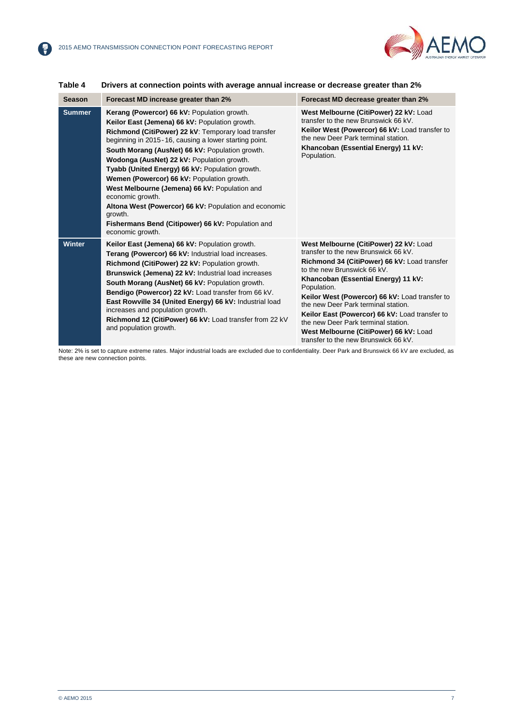【帚】



| <b>Season</b> | Forecast MD increase greater than 2%                                                                                                                                                                                                                                                                                                                                                                                                                                                                                                                                                                                              | Forecast MD decrease greater than 2%                                                                                                                                                                                                                                                                                                                                                                                                                                                    |
|---------------|-----------------------------------------------------------------------------------------------------------------------------------------------------------------------------------------------------------------------------------------------------------------------------------------------------------------------------------------------------------------------------------------------------------------------------------------------------------------------------------------------------------------------------------------------------------------------------------------------------------------------------------|-----------------------------------------------------------------------------------------------------------------------------------------------------------------------------------------------------------------------------------------------------------------------------------------------------------------------------------------------------------------------------------------------------------------------------------------------------------------------------------------|
| <b>Summer</b> | Kerang (Powercor) 66 kV: Population growth.<br>Keilor East (Jemena) 66 kV: Population growth.<br>Richmond (CitiPower) 22 kV: Temporary load transfer<br>beginning in 2015-16, causing a lower starting point.<br>South Morang (AusNet) 66 kV: Population growth.<br>Wodonga (AusNet) 22 kV: Population growth.<br>Tyabb (United Energy) 66 kV: Population growth.<br>Wemen (Powercor) 66 kV: Population growth.<br>West Melbourne (Jemena) 66 kV: Population and<br>economic growth.<br>Altona West (Powercor) 66 kV: Population and economic<br>growth.<br>Fishermans Bend (Citipower) 66 kV: Population and<br>economic growth. | West Melbourne (CitiPower) 22 kV: Load<br>transfer to the new Brunswick 66 kV.<br>Keilor West (Powercor) 66 kV: Load transfer to<br>the new Deer Park terminal station.<br>Khancoban (Essential Energy) 11 kV:<br>Population.                                                                                                                                                                                                                                                           |
| <b>Winter</b> | Keilor East (Jemena) 66 kV: Population growth.<br>Terang (Powercor) 66 kV: Industrial load increases.<br>Richmond (CitiPower) 22 kV: Population growth.<br>Brunswick (Jemena) 22 kV: Industrial load increases<br>South Morang (AusNet) 66 kV: Population growth.<br>Bendigo (Powercor) 22 kV: Load transfer from 66 kV.<br>East Rowville 34 (United Energy) 66 kV: Industrial load<br>increases and population growth.<br>Richmond 12 (CitiPower) 66 kV: Load transfer from 22 kV<br>and population growth.                                                                                                                      | West Melbourne (CitiPower) 22 kV: Load<br>transfer to the new Brunswick 66 kV.<br>Richmond 34 (CitiPower) 66 kV: Load transfer<br>to the new Brunswick 66 kV.<br>Khancoban (Essential Energy) 11 kV:<br>Population.<br>Keilor West (Powercor) 66 kV: Load transfer to<br>the new Deer Park terminal station.<br>Keilor East (Powercor) 66 kV: Load transfer to<br>the new Deer Park terminal station.<br>West Melbourne (CitiPower) 66 kV: Load<br>transfer to the new Brunswick 66 kV. |

#### **Table 4 Drivers at connection points with average annual increase or decrease greater than 2%**

Note: 2% is set to capture extreme rates. Major industrial loads are excluded due to confidentiality. Deer Park and Brunswick 66 kV are excluded, as these are new connection points.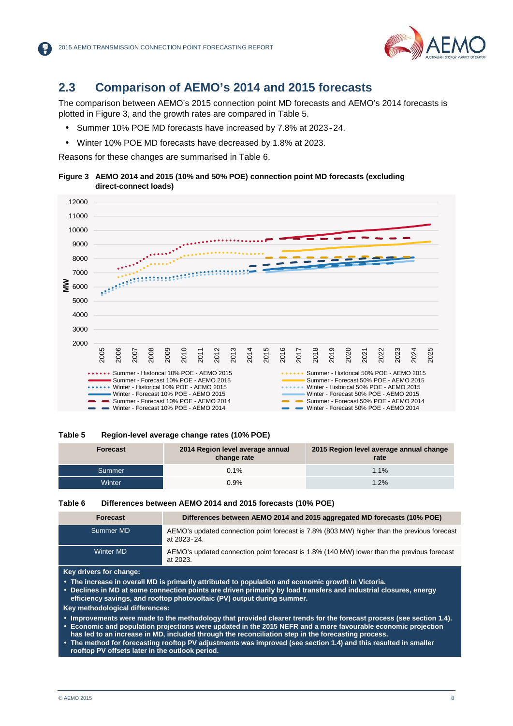

## **2.3 Comparison of AEMO's 2014 and 2015 forecasts**

The comparison between AEMO's 2015 connection point MD forecasts and AEMO's 2014 forecasts is plotted in Figure 3, and the growth rates are compared in Table 5.

- Summer 10% POE MD forecasts have increased by 7.8% at 2023-24.
- Winter 10% POE MD forecasts have decreased by 1.8% at 2023.

Reasons for these changes are summarised in Table 6.





#### **Table 5 Region-level average change rates (10% POE)**

| <b>Forecast</b> | 2014 Region level average annual<br>change rate | 2015 Region level average annual change<br>rate |
|-----------------|-------------------------------------------------|-------------------------------------------------|
| 'Summer         | 0.1%                                            | 1.1%                                            |
| <b>Winter</b>   | 0.9%                                            | 1.2%                                            |

#### **Table 6 Differences between AEMO 2014 and 2015 forecasts (10% POE)**

| <b>Forecast</b>  | Differences between AEMO 2014 and 2015 aggregated MD forecasts (10% POE)                                   |
|------------------|------------------------------------------------------------------------------------------------------------|
| Summer MD        | AEMO's updated connection point forecast is 7.8% (803 MW) higher than the previous forecast<br>at 2023-24. |
| <b>Winter MD</b> | AEMO's updated connection point forecast is 1.8% (140 MW) lower than the previous forecast<br>at 2023.     |

**Key drivers for change:**

**The increase in overall MD is primarily attributed to population and economic growth in Victoria.**

 **Declines in MD at some connection points are driven primarily by load transfers and industrial closures, energy efficiency savings, and rooftop photovoltaic (PV) output during summer.**

**Key methodological differences:**

 **Improvements were made to the methodology that provided clearer trends for the forecast process (see section 1.4). Economic and population projections were updated in the 2015 NEFR and a more favourable economic projection**

- **has led to an increase in MD, included through the reconciliation step in the forecasting process.**
- **The method for forecasting rooftop PV adjustments was improved (see section 1.4) and this resulted in smaller rooftop PV offsets later in the outlook period.**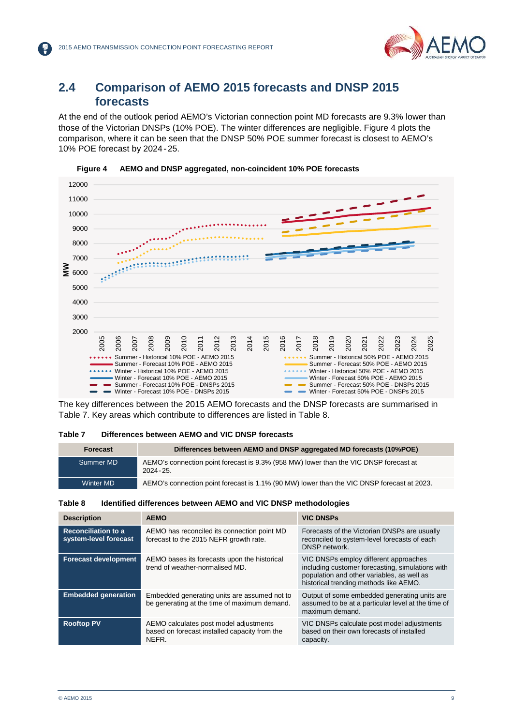

### **2.4 Comparison of AEMO 2015 forecasts and DNSP 2015 forecasts**

At the end of the outlook period AEMO's Victorian connection point MD forecasts are 9.3% lower than those of the Victorian DNSPs (10% POE). The winter differences are negligible. Figure 4 plots the comparison, where it can be seen that the DNSP 50% POE summer forecast is closest to AEMO's 10% POE forecast by 2024-25.





The key differences between the 2015 AEMO forecasts and the DNSP forecasts are summarised in Table 7. Key areas which contribute to differences are listed in Table 8.

### **Table 7 Differences between AEMO and VIC DNSP forecasts**

| Forecast  | Differences between AEMO and DNSP aggregated MD forecasts (10%POE)                                    |
|-----------|-------------------------------------------------------------------------------------------------------|
| Summer MD | AEMO's connection point forecast is 9.3% (958 MW) lower than the VIC DNSP forecast at<br>$2024 - 25.$ |
| Winter MD | AEMO's connection point forecast is 1.1% (90 MW) lower than the VIC DNSP forecast at 2023.            |

#### **Table 8 Identified differences between AEMO and VIC DNSP methodologies**

| <b>Description</b>                                  | <b>AEMO</b>                                                                                      | <b>VIC DNSPS</b>                                                                                                                                                                  |
|-----------------------------------------------------|--------------------------------------------------------------------------------------------------|-----------------------------------------------------------------------------------------------------------------------------------------------------------------------------------|
| <b>Reconciliation to a</b><br>system-level forecast | AEMO has reconciled its connection point MD<br>forecast to the 2015 NEFR growth rate.            | Forecasts of the Victorian DNSPs are usually<br>reconciled to system-level forecasts of each<br>DNSP network.                                                                     |
| <b>Forecast development</b>                         | AEMO bases its forecasts upon the historical<br>trend of weather-normalised MD.                  | VIC DNSPs employ different approaches<br>including customer forecasting, simulations with<br>population and other variables, as well as<br>historical trending methods like AEMO. |
| <b>Embedded generation</b>                          | Embedded generating units are assumed not to<br>be generating at the time of maximum demand.     | Output of some embedded generating units are.<br>assumed to be at a particular level at the time of<br>maximum demand.                                                            |
| <b>Rooftop PV</b>                                   | AEMO calculates post model adjustments<br>based on forecast installed capacity from the<br>NEFR. | VIC DNSPs calculate post model adjustments<br>based on their own forecasts of installed<br>capacity.                                                                              |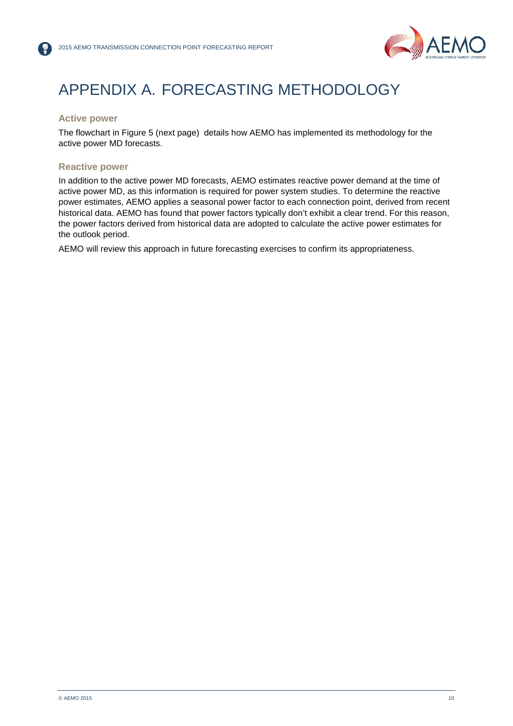

## APPENDIX A. FORECASTING METHODOLOGY

### **Active power**

The flowchart in Figure 5 (next page) details how AEMO has implemented its methodology for the active power MD forecasts.

### **Reactive power**

In addition to the active power MD forecasts, AEMO estimates reactive power demand at the time of active power MD, as this information is required for power system studies. To determine the reactive power estimates, AEMO applies a seasonal power factor to each connection point, derived from recent historical data. AEMO has found that power factors typically don't exhibit a clear trend. For this reason, the power factors derived from historical data are adopted to calculate the active power estimates for the outlook period.

AEMO will review this approach in future forecasting exercises to confirm its appropriateness.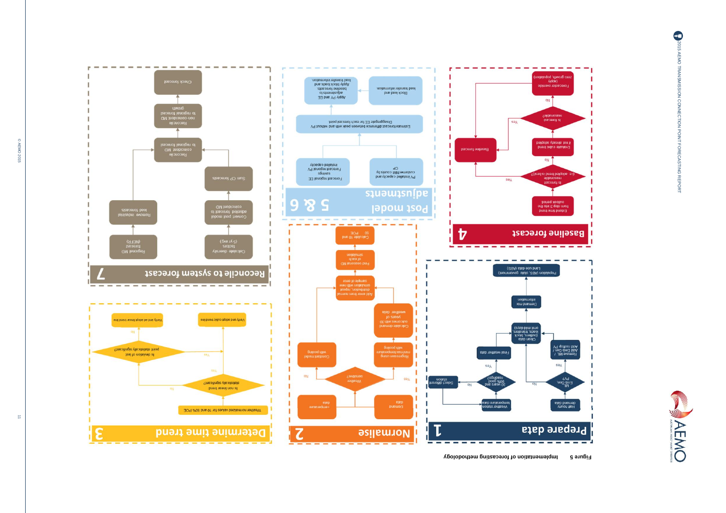





ε

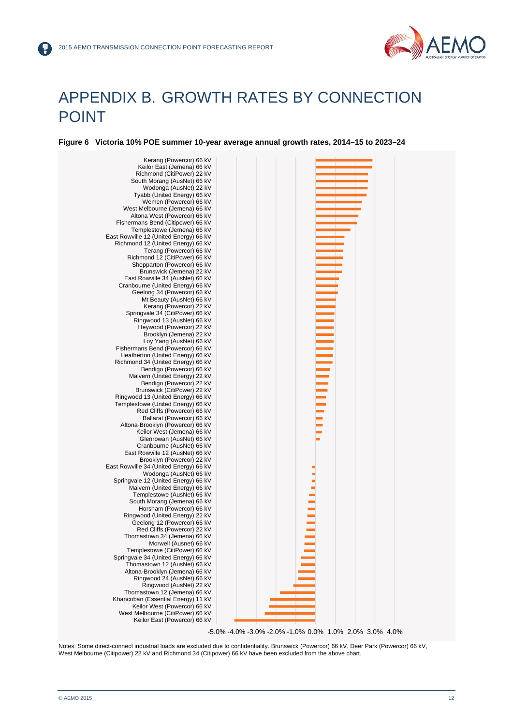

## APPENDIX B. GROWTH RATES BY CONNECTION POINT

**Figure 6 Victoria 10% POE summer 10-year average annual growth rates, 2014–15 to 2023–24**



Notes: Some direct-connect industrial loads are excluded due to confidentiality. Brunswick (Powercor) 66 kV, Deer Park (Powercor) 66 kV, West Melbourne (Citipower) 22 kV and Richmond 34 (Citipower) 66 kV have been excluded from the above chart.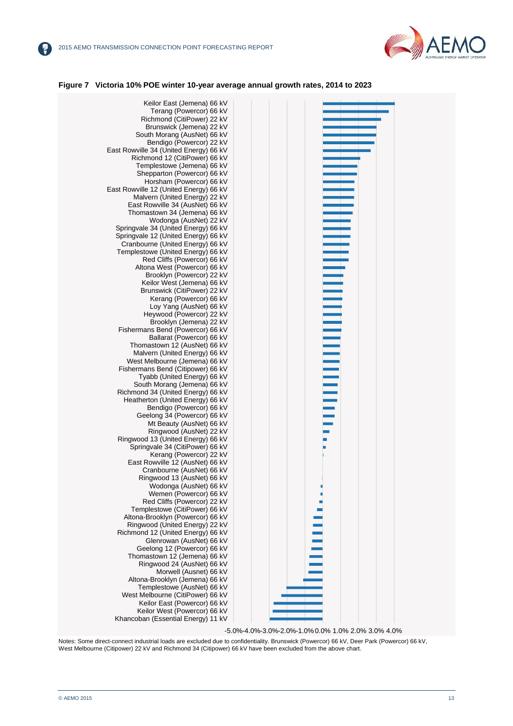

#### **Figure 7 Victoria 10% POE winter 10-year average annual growth rates, 2014 to 2023**



-5.0%-4.0%-3.0%-2.0%-1.0%0.0% 1.0% 2.0% 3.0% 4.0%

Notes: Some direct-connect industrial loads are excluded due to confidentiality. Brunswick (Powercor) 66 kV, Deer Park (Powercor) 66 kV, West Melbourne (Citipower) 22 kV and Richmond 34 (Citipower) 66 kV have been excluded from the above chart.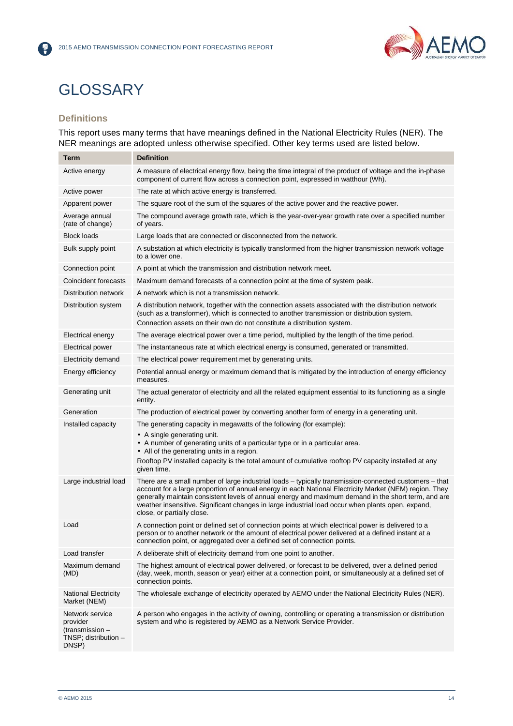

## **GLOSSARY**

### **Definitions**

 $(\tilde{r})$ 

This report uses many terms that have meanings defined in the National Electricity Rules (NER). The NER meanings are adopted unless otherwise specified. Other key terms used are listed below.

| Term                                                                            | <b>Definition</b>                                                                                                                                                                                                                                                                                                                                                                                                                                          |
|---------------------------------------------------------------------------------|------------------------------------------------------------------------------------------------------------------------------------------------------------------------------------------------------------------------------------------------------------------------------------------------------------------------------------------------------------------------------------------------------------------------------------------------------------|
| Active energy                                                                   | A measure of electrical energy flow, being the time integral of the product of voltage and the in-phase<br>component of current flow across a connection point, expressed in watthour (Wh).                                                                                                                                                                                                                                                                |
| Active power                                                                    | The rate at which active energy is transferred.                                                                                                                                                                                                                                                                                                                                                                                                            |
| Apparent power                                                                  | The square root of the sum of the squares of the active power and the reactive power.                                                                                                                                                                                                                                                                                                                                                                      |
| Average annual<br>(rate of change)                                              | The compound average growth rate, which is the year-over-year growth rate over a specified number<br>of years.                                                                                                                                                                                                                                                                                                                                             |
| <b>Block loads</b>                                                              | Large loads that are connected or disconnected from the network.                                                                                                                                                                                                                                                                                                                                                                                           |
| Bulk supply point                                                               | A substation at which electricity is typically transformed from the higher transmission network voltage<br>to a lower one.                                                                                                                                                                                                                                                                                                                                 |
| Connection point                                                                | A point at which the transmission and distribution network meet.                                                                                                                                                                                                                                                                                                                                                                                           |
| Coincident forecasts                                                            | Maximum demand forecasts of a connection point at the time of system peak.                                                                                                                                                                                                                                                                                                                                                                                 |
| Distribution network                                                            | A network which is not a transmission network.                                                                                                                                                                                                                                                                                                                                                                                                             |
| Distribution system                                                             | A distribution network, together with the connection assets associated with the distribution network<br>(such as a transformer), which is connected to another transmission or distribution system.<br>Connection assets on their own do not constitute a distribution system.                                                                                                                                                                             |
| Electrical energy                                                               | The average electrical power over a time period, multiplied by the length of the time period.                                                                                                                                                                                                                                                                                                                                                              |
| <b>Electrical power</b>                                                         | The instantaneous rate at which electrical energy is consumed, generated or transmitted.                                                                                                                                                                                                                                                                                                                                                                   |
| Electricity demand                                                              | The electrical power requirement met by generating units.                                                                                                                                                                                                                                                                                                                                                                                                  |
| Energy efficiency                                                               | Potential annual energy or maximum demand that is mitigated by the introduction of energy efficiency<br>measures.                                                                                                                                                                                                                                                                                                                                          |
| Generating unit                                                                 | The actual generator of electricity and all the related equipment essential to its functioning as a single<br>entity.                                                                                                                                                                                                                                                                                                                                      |
| Generation                                                                      | The production of electrical power by converting another form of energy in a generating unit.                                                                                                                                                                                                                                                                                                                                                              |
| Installed capacity                                                              | The generating capacity in megawatts of the following (for example):<br>• A single generating unit.<br>• A number of generating units of a particular type or in a particular area.<br>• All of the generating units in a region.<br>Rooftop PV installed capacity is the total amount of cumulative rooftop PV capacity installed at any<br>given time.                                                                                                   |
| Large industrial load                                                           | There are a small number of large industrial loads - typically transmission-connected customers - that<br>account for a large proportion of annual energy in each National Electricity Market (NEM) region. They<br>generally maintain consistent levels of annual energy and maximum demand in the short term, and are<br>weather insensitive. Significant changes in large industrial load occur when plants open, expand,<br>close, or partially close. |
| Load                                                                            | A connection point or defined set of connection points at which electrical power is delivered to a<br>person or to another network or the amount of electrical power delivered at a defined instant at a<br>connection point, or aggregated over a defined set of connection points.                                                                                                                                                                       |
| Load transfer                                                                   | A deliberate shift of electricity demand from one point to another.                                                                                                                                                                                                                                                                                                                                                                                        |
| Maximum demand<br>(MD)                                                          | The highest amount of electrical power delivered, or forecast to be delivered, over a defined period<br>(day, week, month, season or year) either at a connection point, or simultaneously at a defined set of<br>connection points.                                                                                                                                                                                                                       |
| <b>National Electricity</b><br>Market (NEM)                                     | The wholesale exchange of electricity operated by AEMO under the National Electricity Rules (NER).                                                                                                                                                                                                                                                                                                                                                         |
| Network service<br>provider<br>(transmission -<br>TNSP; distribution -<br>DNSP) | A person who engages in the activity of owning, controlling or operating a transmission or distribution<br>system and who is registered by AEMO as a Network Service Provider.                                                                                                                                                                                                                                                                             |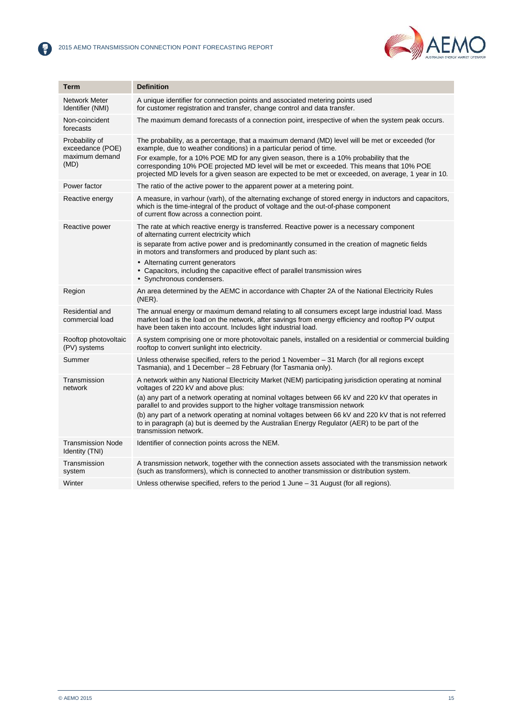2



| <b>Term</b>                                                  | <b>Definition</b>                                                                                                                                                                                                                                                                                                                                                                                                                                                                                                                                                  |
|--------------------------------------------------------------|--------------------------------------------------------------------------------------------------------------------------------------------------------------------------------------------------------------------------------------------------------------------------------------------------------------------------------------------------------------------------------------------------------------------------------------------------------------------------------------------------------------------------------------------------------------------|
| Network Meter<br>Identifier (NMI)                            | A unique identifier for connection points and associated metering points used<br>for customer registration and transfer, change control and data transfer.                                                                                                                                                                                                                                                                                                                                                                                                         |
| Non-coincident<br>forecasts                                  | The maximum demand forecasts of a connection point, irrespective of when the system peak occurs.                                                                                                                                                                                                                                                                                                                                                                                                                                                                   |
| Probability of<br>exceedance (POE)<br>maximum demand<br>(MD) | The probability, as a percentage, that a maximum demand (MD) level will be met or exceeded (for<br>example, due to weather conditions) in a particular period of time.<br>For example, for a 10% POE MD for any given season, there is a 10% probability that the<br>corresponding 10% POE projected MD level will be met or exceeded. This means that 10% POE<br>projected MD levels for a given season are expected to be met or exceeded, on average, 1 year in 10.                                                                                             |
| Power factor                                                 | The ratio of the active power to the apparent power at a metering point.                                                                                                                                                                                                                                                                                                                                                                                                                                                                                           |
| Reactive energy                                              | A measure, in varhour (varh), of the alternating exchange of stored energy in inductors and capacitors,<br>which is the time-integral of the product of voltage and the out-of-phase component<br>of current flow across a connection point.                                                                                                                                                                                                                                                                                                                       |
| Reactive power                                               | The rate at which reactive energy is transferred. Reactive power is a necessary component<br>of alternating current electricity which<br>is separate from active power and is predominantly consumed in the creation of magnetic fields<br>in motors and transformers and produced by plant such as:<br>• Alternating current generators<br>• Capacitors, including the capacitive effect of parallel transmission wires<br>· Synchronous condensers.                                                                                                              |
| Region                                                       | An area determined by the AEMC in accordance with Chapter 2A of the National Electricity Rules<br>$(NER)$ .                                                                                                                                                                                                                                                                                                                                                                                                                                                        |
| Residential and<br>commercial load                           | The annual energy or maximum demand relating to all consumers except large industrial load. Mass<br>market load is the load on the network, after savings from energy efficiency and rooftop PV output<br>have been taken into account. Includes light industrial load.                                                                                                                                                                                                                                                                                            |
| Rooftop photovoltaic<br>(PV) systems                         | A system comprising one or more photovoltaic panels, installed on a residential or commercial building<br>rooftop to convert sunlight into electricity.                                                                                                                                                                                                                                                                                                                                                                                                            |
| Summer                                                       | Unless otherwise specified, refers to the period 1 November $-31$ March (for all regions except<br>Tasmania), and 1 December - 28 February (for Tasmania only).                                                                                                                                                                                                                                                                                                                                                                                                    |
| Transmission<br>network                                      | A network within any National Electricity Market (NEM) participating jurisdiction operating at nominal<br>voltages of 220 kV and above plus:<br>(a) any part of a network operating at nominal voltages between 66 kV and 220 kV that operates in<br>parallel to and provides support to the higher voltage transmission network<br>(b) any part of a network operating at nominal voltages between 66 kV and 220 kV that is not referred<br>to in paragraph (a) but is deemed by the Australian Energy Regulator (AER) to be part of the<br>transmission network. |
| <b>Transmission Node</b><br>Identity (TNI)                   | Identifier of connection points across the NEM.                                                                                                                                                                                                                                                                                                                                                                                                                                                                                                                    |
| Transmission<br>system                                       | A transmission network, together with the connection assets associated with the transmission network<br>(such as transformers), which is connected to another transmission or distribution system.                                                                                                                                                                                                                                                                                                                                                                 |
| Winter                                                       | Unless otherwise specified, refers to the period 1 June - 31 August (for all regions).                                                                                                                                                                                                                                                                                                                                                                                                                                                                             |